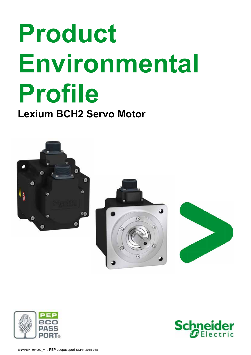# **Product Environmental Profile**

**Lexium BCH2 Servo Motor**









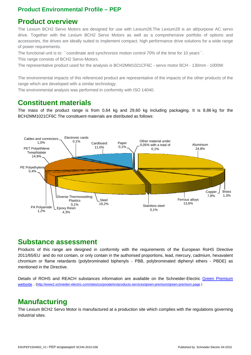#### **Product Environmental Profile – PEP**

# **Product overview**

The Lexium BCH2 Servo Motors are designed for use with Lexium28.The Lexium28 is an all/purpose AC servo drive. Together with the Lexium BCH2 Servo Motors as well as a comprehensive portfolio of options and accessories, the drives are ideally suited to implement compact, high performance drive solutions for a wide range of power requirements.

The functional unit is to: ``coordinate and synchronize motion control 70% of the time for 10 years''.

This range consists of BCH2 Servo Motors.

The representative product used for the analysis is BCH2MM1021CF6C - servo motor BCH - 130mm - 1000W.

The environmental impacts of this referenced product are representative of the impacts of the other products of the range which are developed with a similar technology.

The environmental analysis was performed in conformity with ISO 14040.

# **Constituent materials**

The mass of the product range is from 0,64 kg and 29,60 kg including packaging. It is 8,86 kg for the BCH2MM1021CF6C The constituent materials are distributed as follows:



#### **Substance assessment**

Products of this range are designed in conformity with the requirements of the European RoHS Directive 2011/65/EU and do not contain, or only contain in the authorised proportions, lead, mercury, cadmium, hexavalent chromium or flame retardants (polybrominated biphenyls - PBB, polybrominated diphenyl ethers - PBDE) as mentioned in the Directive.

Details of ROHS and REACH substances information are available on the Schneider-Electric Green Premium website . (http://www2.schneider-electric.com/sites/corporate/en/products-services/green-premium/green-premium.page )

# **Manufacturing**

The Lexium BCH2 Servo Motor is manufactured at a production site which complies with the regulations governing industrial sites.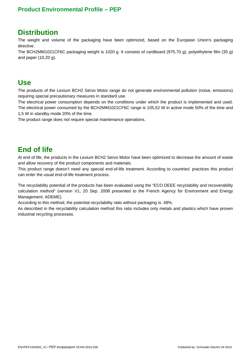#### **Product Environmental Profile – PEP**

#### **Distribution**

The weight and volume of the packaging have been optimized, based on the European Union's packaging directive.

The BCH2MM1021CF6C packaging weight is *1020 g*. It consists of cardboard (975,70 g), polyethylene film (35 g) and paper (10,20 g).

#### **Use**

The products of the Lexium BCH2 Servo Motor range do not generate environmental pollution (noise, emissions) requiring special precautionary measures in standard use.

The electrical power consumption depends on the conditions under which the product is implemented and used. The electrical power consumed by the BCH2MM1021CF6C range is 105,52 W in active mode 50% of the time and 1,5 W in standby mode 20% of the time.

The product range does not require special maintenance operations.

# **End of life**

At end of life, the products in the Lexium BCH2 Servo Motor have been optimized to decrease the amount of waste and allow recovery of the product components and materials.

This product range doesn't need any special end-of-life treatment. According to countries' practices this product can enter the usual end-of-life treatment process.

The recyclability potential of the products has been evaluated using the "ECO DEEE recyclability and recoverability calculation method" (version V1, 20 Sep. 2008 presented to the French Agency for Environment and Energy Management: ADEME).

According to this method, the potential recyclability ratio without packaging is: 48%.

As described in the recyclability calculation method this ratio includes only metals and plastics which have proven industrial recycling processes.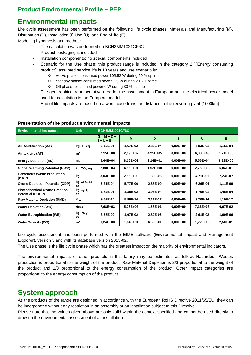### **Environmental impacts**

Life cycle assessment has been performed on the following life cycle phases: Materials and Manufacturing (M), Distribution (D), Installation (I) Use (U), and End of life (E).

Modeling hypothesis and method:

- The calculation was performed on BCH2MM1021CF6C.
- Product packaging is included.
- Installation components: no special components included.
- Scenario for the Use phase: this product range is included in the category 2 "Energy consuming product<sup>"</sup> assumed service life is 10 years and use scenario is:
	- o Active phase: consumed power 105,52 W during 50 % uptime.
	- o Standby phase: consumed power 1,5 W during 20 % uptime.
	- o Off phase: consumed power 0 W during 30 % uptime.
- The geographical representative area for the assessment is European and the electrical power model used for calculation is the European model.
- End of life impacts are based on a worst case transport distance to the recycling plant (1000km).

| <b>Environmental indicators</b>                                | <b>Unit</b>                            | <b>BCH2MM1021CF6C</b>        |          |            |              |            |          |  |  |
|----------------------------------------------------------------|----------------------------------------|------------------------------|----------|------------|--------------|------------|----------|--|--|
|                                                                |                                        | $S = M + D +$<br>$1 + U + E$ | M        | D          |              | U          | Е        |  |  |
| Air Acidification (AA)                                         | kg H+ eq                               | 6,10E-01                     | 1,67E-02 | 2,86E-04   | $0.00E + 00$ | 5,93E-01   | 1,15E-04 |  |  |
| Air toxicity (AT)                                              | m <sup>3</sup>                         | 7,15E+08                     | 2,69E+07 | $4,25E+05$ | $0.00E + 00$ | $6,88E+08$ | 1,71E+05 |  |  |
| <b>Energy Depletion (ED)</b>                                   | MJ                                     | 5,64E+04                     | 8,16E+02 | 2,14E+01   | $0.00E + 00$ | 5,56E+04   | 8,23E+00 |  |  |
| <b>Global Warming Potential (GWP)</b>                          | $kg CO2$ eq.                           | 2,80E+03                     | 4,86E+01 | 1,52E+00   | $0.00E + 00$ | 2,75E+03   | 5,84E-01 |  |  |
| <b>Hazardous Waste Production</b><br>(HWP)                     | kg                                     | $3,03E+00$                   | 2,56E+00 | 1,88E-06   | $0.00E + 00$ | 4,71E-01   | 7,23E-07 |  |  |
| <b>Ozone Depletion Potential (ODP)</b>                         | kg CFC-11<br>eq.                       | 6,31E-04                     | 5,77E-06 | 2,88E-09   | $0.00E + 00$ | 6,26E-04   | 1,11E-09 |  |  |
| <b>Photochemical Ozone Creation</b><br><b>Potential (POCP)</b> | kgC <sub>2</sub> H <sub>4</sub><br>eq. | 1,89E-01                     | 1,85E-02 | 3,93E-04   | $0.00E + 00$ | 1,70E-01   | 1,45E-04 |  |  |
| <b>Raw Material Depletion (RMD)</b>                            | Y-1                                    | 9,67E-14                     | 5,96E-14 | 3,11E-17   | $0,00E+00$   | 3,70E-14   | 1,19E-17 |  |  |
| <b>Water Depletion (WD)</b>                                    | dm <sub>3</sub>                        | 7,68E+03                     | 5,26E+02 | 1,58E-01   | $0,00E+00$   | 7,16E+03   | 6,07E-02 |  |  |
| <b>Water Eutrophication (WE)</b>                               | $kg$ PO $_4$ <sup>3-</sup><br>eq.      | 3,68E-02                     | 1,07E-02 | 2,82E-06   | $0,00E+00$   | 2,61E-02   | 1,09E-06 |  |  |
| <b>Water Toxicity (WT)</b>                                     | m <sup>3</sup>                         | 1,24E+03                     | 1,64E+01 | 6,50E-01   | $0,00E+00$   | 1,22E+03   | 2,50E-01 |  |  |

#### **Presentation of the product environmental impacts**

Life cycle assessment has been performed with the EIME software (Environmental Impact and Management Explorer), version 5 and with its database version 2013-02.

The Use phase is the life cycle phase which has the greatest impact on the majority of environmental indicators.

The environmental impacts of other products in this family may be estimated as follow: Hazardous Wastes production is proportional to the weight of the product. Raw Material Depletion is 2/3 proportional to the weight of the product and 1/3 proportional to the energy consumption of the product. Other impact categories are proportional to the energy consumption of the product.

#### **System approach**

As the products of the range are designed in accordance with the European RoHS Directive 2011/65/EU, they can be incorporated without any restriction in an assembly or an installation subject to this Directive.

Please note that the values given above are only valid within the context specified and cannot be used directly to draw up the environmental assessment of an installation.